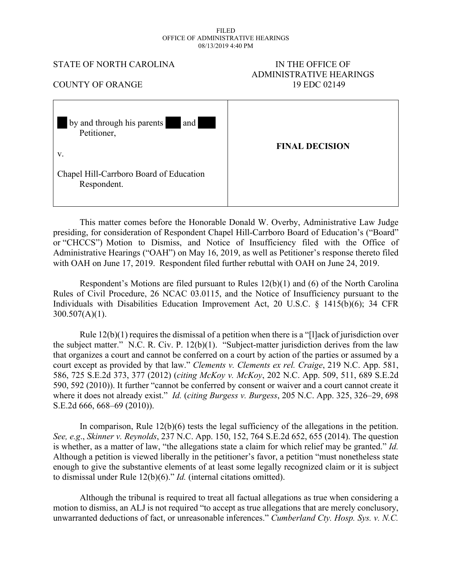#### FILED OFFICE OF ADMINISTRATIVE HEARINGS 08/13/2019 4:40 PM

#### STATE OF NORTH CAROLINA IN THE OFFICE OF

# ADMINISTRATIVE HEARINGS COUNTY OF ORANGE 19 EDC 02149

| and<br>by and through his parents<br>Petitioner,       |                       |
|--------------------------------------------------------|-----------------------|
| V.                                                     | <b>FINAL DECISION</b> |
| Chapel Hill-Carrboro Board of Education<br>Respondent. |                       |

This matter comes before the Honorable Donald W. Overby, Administrative Law Judge presiding, for consideration of Respondent Chapel Hill-Carrboro Board of Education's ("Board" or "CHCCS") Motion to Dismiss, and Notice of Insufficiency filed with the Office of Administrative Hearings ("OAH") on May 16, 2019, as well as Petitioner's response thereto filed with OAH on June 17, 2019. Respondent filed further rebuttal with OAH on June 24, 2019.

Respondent's Motions are filed pursuant to Rules 12(b)(1) and (6) of the North Carolina Rules of Civil Procedure, 26 NCAC 03.0115, and the Notice of Insufficiency pursuant to the Individuals with Disabilities Education Improvement Act, 20 U.S.C. § 1415(b)(6); 34 CFR  $300.507(A)(1)$ .

Rule 12(b)(1) requires the dismissal of a petition when there is a "[l]ack of jurisdiction over the subject matter." N.C. R. Civ. P. 12(b)(1). "Subject-matter jurisdiction derives from the law that organizes a court and cannot be conferred on a court by action of the parties or assumed by a court except as provided by that law." *Clements v. Clements ex rel. Craige*, 219 N.C. App. 581, 586, 725 S.E.2d 373, 377 (2012) (*citing McKoy v. McKoy*, 202 N.C. App. 509, 511, 689 S.E.2d 590, 592 (2010)). It further "cannot be conferred by consent or waiver and a court cannot create it where it does not already exist." *Id.* (*citing Burgess v. Burgess*, 205 N.C. App. 325, 326–29, 698 S.E.2d 666, 668–69 (2010)).

In comparison, Rule 12(b)(6) tests the legal sufficiency of the allegations in the petition. *See, e.g*., *Skinner v. Reynolds*, 237 N.C. App. 150, 152, 764 S.E.2d 652, 655 (2014). The question is whether, as a matter of law, "the allegations state a claim for which relief may be granted." *Id.*  Although a petition is viewed liberally in the petitioner's favor, a petition "must nonetheless state enough to give the substantive elements of at least some legally recognized claim or it is subject to dismissal under Rule 12(b)(6)." *Id.* (internal citations omitted).

Although the tribunal is required to treat all factual allegations as true when considering a motion to dismiss, an ALJ is not required "to accept as true allegations that are merely conclusory, unwarranted deductions of fact, or unreasonable inferences." *Cumberland Cty. Hosp. Sys. v. N.C.*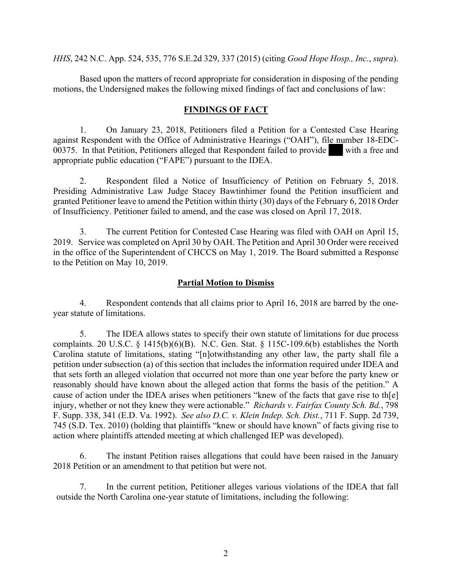*HHS*, 242 N.C. App. 524, 535, 776 S.E.2d 329, 337 (2015) (citing *Good Hope Hosp., Inc.*, *supra*).

Based upon the matters of record appropriate for consideration in disposing of the pending motions, the Undersigned makes the following mixed findings of fact and conclusions of law:

#### **FINDINGS OF FACT**

1. On January 23, 2018, Petitioners filed a Petition for a Contested Case Hearing against Respondent with the Office of Administrative Hearings ("OAH"), file number 18-EDC-00375. In that Petition, Petitioners alleged that Respondent failed to provide with a free and appropriate public education ("FAPE") pursuant to the IDEA.

2. Respondent filed a Notice of Insufficiency of Petition on February 5, 2018. Presiding Administrative Law Judge Stacey Bawtinhimer found the Petition insufficient and granted Petitioner leave to amend the Petition within thirty (30) days of the February 6, 2018 Order of Insufficiency. Petitioner failed to amend, and the case was closed on April 17, 2018.

3. The current Petition for Contested Case Hearing was filed with OAH on April 15, 2019. Service was completed on April 30 by OAH. The Petition and April 30 Order were received in the office of the Superintendent of CHCCS on May 1, 2019. The Board submitted a Response to the Petition on May 10, 2019.

#### **Partial Motion to Dismiss**

4. Respondent contends that all claims prior to April 16, 2018 are barred by the oneyear statute of limitations.

5. The IDEA allows states to specify their own statute of limitations for due process complaints. 20 U.S.C. § 1415(b)(6)(B). N.C. Gen. Stat. § 115C-109.6(b) establishes the North Carolina statute of limitations, stating "[n]otwithstanding any other law, the party shall file a petition under subsection (a) of this section that includes the information required under IDEA and that sets forth an alleged violation that occurred not more than one year before the party knew or reasonably should have known about the alleged action that forms the basis of the petition." A cause of action under the IDEA arises when petitioners "knew of the facts that gave rise to th[e] injury, whether or not they knew they were actionable." *Richards v. Fairfax County Sch. Bd.*, 798 F. Supp. 338, 341 (E.D. Va. 1992). *See also D.C. v. Klein Indep. Sch. Dist.*, 711 F. Supp. 2d 739, 745 (S.D. Tex. 2010) (holding that plaintiffs "knew or should have known" of facts giving rise to action where plaintiffs attended meeting at which challenged IEP was developed).

6. The instant Petition raises allegations that could have been raised in the January 2018 Petition or an amendment to that petition but were not.

7. In the current petition, Petitioner alleges various violations of the IDEA that fall outside the North Carolina one-year statute of limitations, including the following: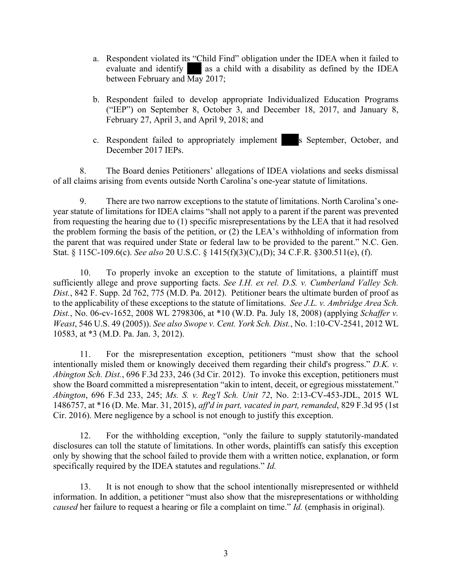- a. Respondent violated its "Child Find" obligation under the IDEA when it failed to evaluate and identify as a child with a disability as defined by the IDEA between February and May 2017;
- b. Respondent failed to develop appropriate Individualized Education Programs ("IEP") on September 8, October 3, and December 18, 2017, and January 8, February 27, April 3, and April 9, 2018; and
- c. Respondent failed to appropriately implement s September, October, and December 2017 IEPs.

8. The Board denies Petitioners' allegations of IDEA violations and seeks dismissal of all claims arising from events outside North Carolina's one-year statute of limitations.

9. There are two narrow exceptions to the statute of limitations. North Carolina's oneyear statute of limitations for IDEA claims "shall not apply to a parent if the parent was prevented from requesting the hearing due to (1) specific misrepresentations by the LEA that it had resolved the problem forming the basis of the petition, or (2) the LEA's withholding of information from the parent that was required under State or federal law to be provided to the parent." N.C. Gen. Stat. § 115C-109.6(c). *See also* 20 U.S.C. § 1415(f)(3)(C),(D); 34 C.F.R. §300.511(e), (f).

10. To properly invoke an exception to the statute of limitations, a plaintiff must sufficiently allege and prove supporting facts. *See I.H. ex rel. D.S. v. Cumberland Valley Sch. Dist.*, 842 F. Supp. 2d 762, 775 (M.D. Pa. 2012). Petitioner bears the ultimate burden of proof as to the applicability of these exceptions to the statute of limitations. *See J.L. v. Ambridge Area Sch. Dist.*, No. 06-cv-1652, 2008 WL 2798306, at \*10 (W.D. Pa. July 18, 2008) (applying *Schaffer v. Weast*, 546 U.S. 49 (2005)). *See also Swope v. Cent. York Sch. Dist.*, No. 1:10-CV-2541, 2012 WL 10583, at \*3 (M.D. Pa. Jan. 3, 2012).

11. For the misrepresentation exception, petitioners "must show that the school intentionally misled them or knowingly deceived them regarding their child's progress." *D.K. v. Abington Sch. Dist.*, 696 F.3d 233, 246 (3d Cir. 2012). To invoke this exception, petitioners must show the Board committed a misrepresentation "akin to intent, deceit, or egregious misstatement." *Abington*, 696 F.3d 233, 245; *Ms. S. v. Reg'l Sch. Unit 72*, No. 2:13-CV-453-JDL, 2015 WL 1486757, at \*16 (D. Me. Mar. 31, 2015), *aff'd in part, vacated in part, remanded*, 829 F.3d 95 (1st Cir. 2016). Mere negligence by a school is not enough to justify this exception.

12. For the withholding exception, "only the failure to supply statutorily-mandated disclosures can toll the statute of limitations. In other words, plaintiffs can satisfy this exception only by showing that the school failed to provide them with a written notice, explanation, or form specifically required by the IDEA statutes and regulations." *Id.*

13. It is not enough to show that the school intentionally misrepresented or withheld information. In addition, a petitioner "must also show that the misrepresentations or withholding *caused* her failure to request a hearing or file a complaint on time." *Id.* (emphasis in original).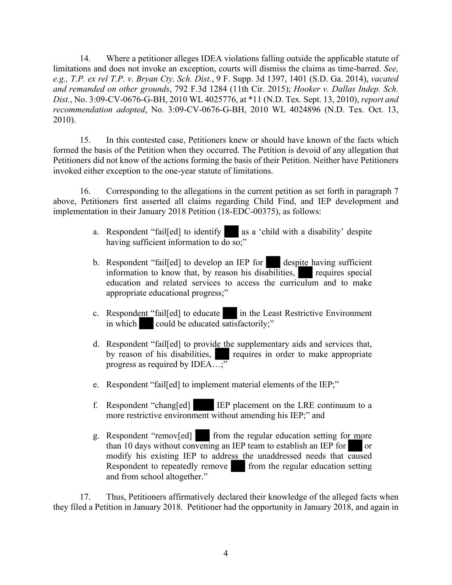14. Where a petitioner alleges IDEA violations falling outside the applicable statute of limitations and does not invoke an exception, courts will dismiss the claims as time-barred. *See, e.g., T.P. ex rel T.P. v. Bryan Cty. Sch. Dist.*, 9 F. Supp. 3d 1397, 1401 (S.D. Ga. 2014), *vacated and remanded on other grounds*, 792 F.3d 1284 (11th Cir. 2015); *Hooker v. Dallas Indep. Sch. Dist.*, No. 3:09-CV-0676-G-BH, 2010 WL 4025776, at \*11 (N.D. Tex. Sept. 13, 2010), *report and recommendation adopted*, No. 3:09-CV-0676-G-BH, 2010 WL 4024896 (N.D. Tex. Oct. 13, 2010).

15. In this contested case, Petitioners knew or should have known of the facts which formed the basis of the Petition when they occurred. The Petition is devoid of any allegation that Petitioners did not know of the actions forming the basis of their Petition. Neither have Petitioners invoked either exception to the one-year statute of limitations.

16. Corresponding to the allegations in the current petition as set forth in paragraph 7 above, Petitioners first asserted all claims regarding Child Find, and IEP development and implementation in their January 2018 Petition (18-EDC-00375), as follows:

- a. Respondent "fail[ed] to identify as a 'child with a disability' despite having sufficient information to  $\overline{do}$  so;"
- b. Respondent "fail[ed] to develop an IEP for despite having sufficient information to know that, by reason his disabilities, requires special education and related services to access the curriculum and to make appropriate educational progress;"
- c. Respondent "fail[ed] to educate in the Least Restrictive Environment in which could be educated satisfactorily;"
- d. Respondent "fail[ed] to provide the supplementary aids and services that, by reason of his disabilities, requires in order to make appropriate progress as required by IDEA...;"
- e. Respondent "fail[ed] to implement material elements of the IEP;"
- f. Respondent "chang[ed] IEP placement on the LRE continuum to a more restrictive environment without amending his IEP;" and
- g. Respondent "remov[ed] from the regular education setting for more than 10 days without convening an IEP team to establish an IEP for  $\Box$  or modify his existing IEP to address the unaddressed needs that caused Respondent to repeatedly remove from the regular education setting and from school altogether."

17. Thus, Petitioners affirmatively declared their knowledge of the alleged facts when they filed a Petition in January 2018. Petitioner had the opportunity in January 2018, and again in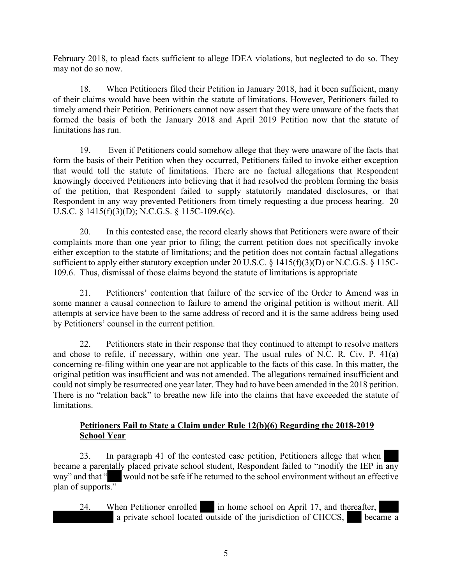February 2018, to plead facts sufficient to allege IDEA violations, but neglected to do so. They may not do so now.

18. When Petitioners filed their Petition in January 2018, had it been sufficient, many of their claims would have been within the statute of limitations. However, Petitioners failed to timely amend their Petition. Petitioners cannot now assert that they were unaware of the facts that formed the basis of both the January 2018 and April 2019 Petition now that the statute of limitations has run.

19. Even if Petitioners could somehow allege that they were unaware of the facts that form the basis of their Petition when they occurred, Petitioners failed to invoke either exception that would toll the statute of limitations. There are no factual allegations that Respondent knowingly deceived Petitioners into believing that it had resolved the problem forming the basis of the petition, that Respondent failed to supply statutorily mandated disclosures, or that Respondent in any way prevented Petitioners from timely requesting a due process hearing. 20 U.S.C. § 1415(f)(3)(D); N.C.G.S. § 115C-109.6(c).

20. In this contested case, the record clearly shows that Petitioners were aware of their complaints more than one year prior to filing; the current petition does not specifically invoke either exception to the statute of limitations; and the petition does not contain factual allegations sufficient to apply either statutory exception under 20 U.S.C. § 1415(f)(3)(D) or N.C.G.S. § 115C-109.6. Thus, dismissal of those claims beyond the statute of limitations is appropriate

21. Petitioners' contention that failure of the service of the Order to Amend was in some manner a causal connection to failure to amend the original petition is without merit. All attempts at service have been to the same address of record and it is the same address being used by Petitioners' counsel in the current petition.

22. Petitioners state in their response that they continued to attempt to resolve matters and chose to refile, if necessary, within one year. The usual rules of N.C. R. Civ. P. 41(a) concerning re-filing within one year are not applicable to the facts of this case. In this matter, the original petition was insufficient and was not amended. The allegations remained insufficient and could not simply be resurrected one year later. They had to have been amended in the 2018 petition. There is no "relation back" to breathe new life into the claims that have exceeded the statute of limitations.

## **Petitioners Fail to State a Claim under Rule 12(b)(6) Regarding the 2018-2019 School Year**

23. In paragraph 41 of the contested case petition, Petitioners allege that when became a parentally placed private school student, Respondent failed to "modify the IEP in any way" and that " would not be safe if he returned to the school environment without an effective plan of supports."

24. When Petitioner enrolled in home school on April 17, and thereafter, a private school located outside of the jurisdiction of CHCCS, became a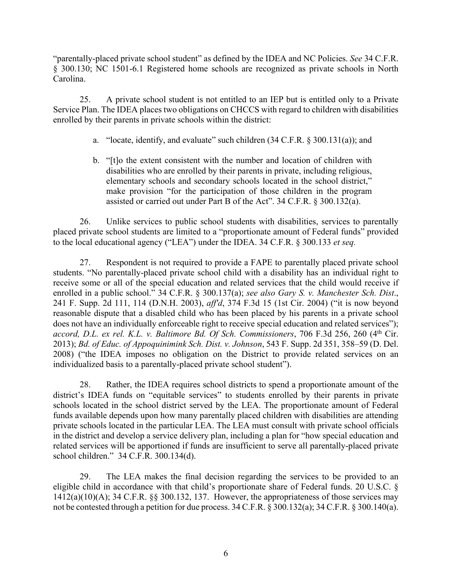"parentally-placed private school student" as defined by the IDEA and NC Policies. *See* 34 C.F.R. § 300.130; NC 1501-6.1 Registered home schools are recognized as private schools in North Carolina.

25. A private school student is not entitled to an IEP but is entitled only to a Private Service Plan. The IDEA places two obligations on CHCCS with regard to children with disabilities enrolled by their parents in private schools within the district:

- a. "locate, identify, and evaluate" such children (34 C.F.R. § 300.131(a)); and
- b. "[t]o the extent consistent with the number and location of children with disabilities who are enrolled by their parents in private, including religious, elementary schools and secondary schools located in the school district," make provision "for the participation of those children in the program assisted or carried out under Part B of the Act". 34 C.F.R. § 300.132(a).

26. Unlike services to public school students with disabilities, services to parentally placed private school students are limited to a "proportionate amount of Federal funds" provided to the local educational agency ("LEA") under the IDEA. 34 C.F.R. § 300.133 *et seq.*

27. Respondent is not required to provide a FAPE to parentally placed private school students. "No parentally-placed private school child with a disability has an individual right to receive some or all of the special education and related services that the child would receive if enrolled in a public school." 34 C.F.R. § 300.137(a); *see also Gary S. v. Manchester Sch. Dist*., 241 F. Supp. 2d 111, 114 (D.N.H. 2003), *aff'd*, 374 F.3d 15 (1st Cir. 2004) ("it is now beyond reasonable dispute that a disabled child who has been placed by his parents in a private school does not have an individually enforceable right to receive special education and related services"); *accord, D.L. ex rel. K.L. v. Baltimore Bd. Of Sch. Commissioners*, 706 F.3d 256, 260 (4th Cir. 2013); *Bd. of Educ. of Appoquinimink Sch. Dist. v. Johnson*, 543 F. Supp. 2d 351, 358–59 (D. Del. 2008) ("the IDEA imposes no obligation on the District to provide related services on an individualized basis to a parentally-placed private school student").

28. Rather, the IDEA requires school districts to spend a proportionate amount of the district's IDEA funds on "equitable services" to students enrolled by their parents in private schools located in the school district served by the LEA. The proportionate amount of Federal funds available depends upon how many parentally placed children with disabilities are attending private schools located in the particular LEA. The LEA must consult with private school officials in the district and develop a service delivery plan, including a plan for "how special education and related services will be apportioned if funds are insufficient to serve all parentally-placed private school children." 34 C.F.R. 300.134(d).

29. The LEA makes the final decision regarding the services to be provided to an eligible child in accordance with that child's proportionate share of Federal funds. 20 U.S.C. §  $1412(a)(10)(A)$ ; 34 C.F.R. §§ 300.132, 137. However, the appropriateness of those services may not be contested through a petition for due process. 34 C.F.R. § 300.132(a); 34 C.F.R. § 300.140(a).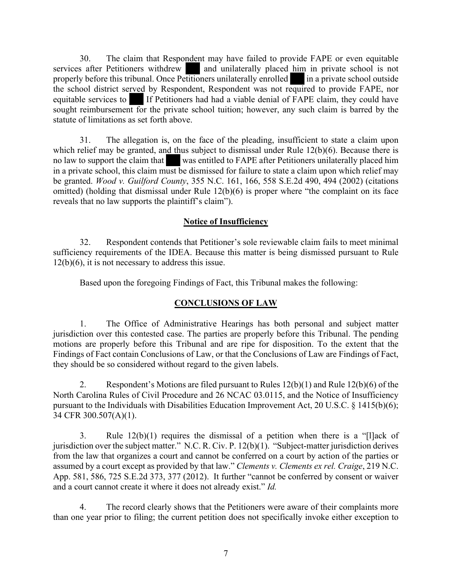30. The claim that Respondent may have failed to provide FAPE or even equitable services after Petitioners withdrew and unilaterally placed him in private school is not properly before this tribunal. Once Petitioners unilaterally enrolled in a private school outside the school district served by Respondent, Respondent was not required to provide FAPE, nor equitable services to If Petitioners had had a viable denial of FAPE claim, they could have sought reimbursement for the private school tuition; however, any such claim is barred by the statute of limitations as set forth above.

31. The allegation is, on the face of the pleading, insufficient to state a claim upon which relief may be granted, and thus subject to dismissal under Rule 12(b)(6). Because there is no law to support the claim that was entitled to FAPE after Petitioners unilaterally placed him in a private school, this claim must be dismissed for failure to state a claim upon which relief may be granted. *Wood v. Guilford County*, 355 N.C. 161, 166, 558 S.E.2d 490, 494 (2002) (citations omitted) (holding that dismissal under Rule 12(b)(6) is proper where "the complaint on its face reveals that no law supports the plaintiff's claim").

## **Notice of Insufficiency**

32. Respondent contends that Petitioner's sole reviewable claim fails to meet minimal sufficiency requirements of the IDEA. Because this matter is being dismissed pursuant to Rule 12(b)(6), it is not necessary to address this issue.

Based upon the foregoing Findings of Fact, this Tribunal makes the following:

## **CONCLUSIONS OF LAW**

1. The Office of Administrative Hearings has both personal and subject matter jurisdiction over this contested case. The parties are properly before this Tribunal. The pending motions are properly before this Tribunal and are ripe for disposition. To the extent that the Findings of Fact contain Conclusions of Law, or that the Conclusions of Law are Findings of Fact, they should be so considered without regard to the given labels.

2. Respondent's Motions are filed pursuant to Rules  $12(b)(1)$  and Rule  $12(b)(6)$  of the North Carolina Rules of Civil Procedure and 26 NCAC 03.0115, and the Notice of Insufficiency pursuant to the Individuals with Disabilities Education Improvement Act, 20 U.S.C. § 1415(b)(6); 34 CFR 300.507(A)(1).

3. Rule 12(b)(1) requires the dismissal of a petition when there is a "[l]ack of jurisdiction over the subject matter." N.C. R. Civ. P. 12(b)(1). "Subject-matter jurisdiction derives from the law that organizes a court and cannot be conferred on a court by action of the parties or assumed by a court except as provided by that law." *Clements v. Clements ex rel. Craige*, 219 N.C. App. 581, 586, 725 S.E.2d 373, 377 (2012). It further "cannot be conferred by consent or waiver and a court cannot create it where it does not already exist." *Id.*

4. The record clearly shows that the Petitioners were aware of their complaints more than one year prior to filing; the current petition does not specifically invoke either exception to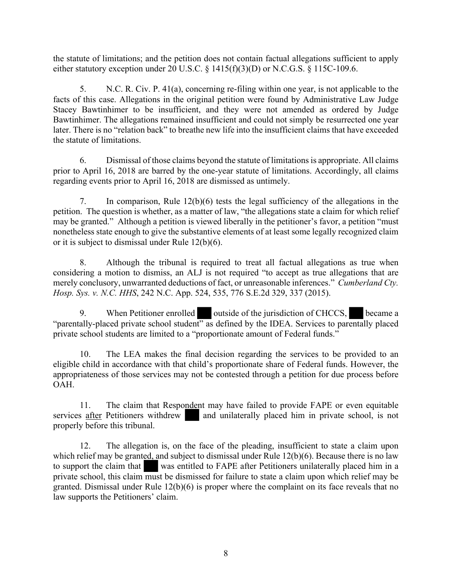the statute of limitations; and the petition does not contain factual allegations sufficient to apply either statutory exception under 20 U.S.C. § 1415(f)(3)(D) or N.C.G.S. § 115C-109.6.

5. N.C. R. Civ. P. 41(a), concerning re-filing within one year, is not applicable to the facts of this case. Allegations in the original petition were found by Administrative Law Judge Stacey Bawtinhimer to be insufficient, and they were not amended as ordered by Judge Bawtinhimer. The allegations remained insufficient and could not simply be resurrected one year later. There is no "relation back" to breathe new life into the insufficient claims that have exceeded the statute of limitations.

6. Dismissal of those claims beyond the statute of limitations is appropriate. All claims prior to April 16, 2018 are barred by the one-year statute of limitations. Accordingly, all claims regarding events prior to April 16, 2018 are dismissed as untimely.

7. In comparison, Rule 12(b)(6) tests the legal sufficiency of the allegations in the petition. The question is whether, as a matter of law, "the allegations state a claim for which relief may be granted." Although a petition is viewed liberally in the petitioner's favor, a petition "must nonetheless state enough to give the substantive elements of at least some legally recognized claim or it is subject to dismissal under Rule 12(b)(6).

8. Although the tribunal is required to treat all factual allegations as true when considering a motion to dismiss, an ALJ is not required "to accept as true allegations that are merely conclusory, unwarranted deductions of fact, or unreasonable inferences." *Cumberland Cty. Hosp. Sys. v. N.C. HHS*, 242 N.C. App. 524, 535, 776 S.E.2d 329, 337 (2015).

9. When Petitioner enrolled outside of the jurisdiction of CHCCS, became a "parentally-placed private school student" as defined by the IDEA. Services to parentally placed private school students are limited to a "proportionate amount of Federal funds."

10. The LEA makes the final decision regarding the services to be provided to an eligible child in accordance with that child's proportionate share of Federal funds. However, the appropriateness of those services may not be contested through a petition for due process before OAH.

11. The claim that Respondent may have failed to provide FAPE or even equitable services after Petitioners withdrew and unilaterally placed him in private school, is not properly before this tribunal.

12. The allegation is, on the face of the pleading, insufficient to state a claim upon which relief may be granted, and subject to dismissal under Rule 12(b)(6). Because there is no law to support the claim that was entitled to FAPE after Petitioners unilaterally placed him in a private school, this claim must be dismissed for failure to state a claim upon which relief may be granted. Dismissal under Rule 12(b)(6) is proper where the complaint on its face reveals that no law supports the Petitioners' claim.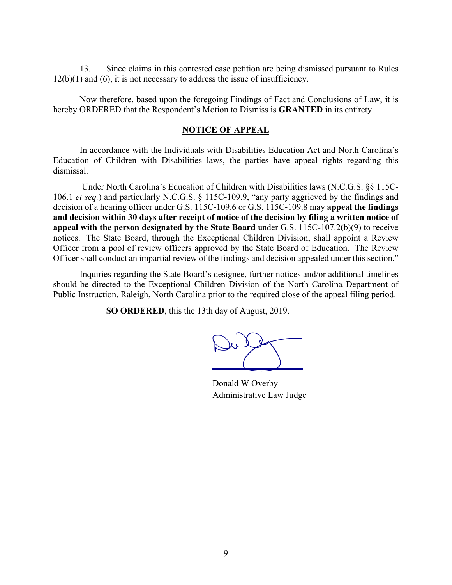13. Since claims in this contested case petition are being dismissed pursuant to Rules 12(b)(1) and (6), it is not necessary to address the issue of insufficiency.

Now therefore, based upon the foregoing Findings of Fact and Conclusions of Law, it is hereby ORDERED that the Respondent's Motion to Dismiss is **GRANTED** in its entirety.

#### **NOTICE OF APPEAL**

In accordance with the Individuals with Disabilities Education Act and North Carolina's Education of Children with Disabilities laws, the parties have appeal rights regarding this dismissal.

Under North Carolina's Education of Children with Disabilities laws (N.C.G.S. §§ 115C-106.1 *et seq.*) and particularly N.C.G.S. § 115C-109.9, "any party aggrieved by the findings and decision of a hearing officer under G.S. 115C-109.6 or G.S. 115C-109.8 may **appeal the findings and decision within 30 days after receipt of notice of the decision by filing a written notice of appeal with the person designated by the State Board** under G.S. 115C-107.2(b)(9) to receive notices. The State Board, through the Exceptional Children Division, shall appoint a Review Officer from a pool of review officers approved by the State Board of Education. The Review Officer shall conduct an impartial review of the findings and decision appealed under this section."

Inquiries regarding the State Board's designee, further notices and/or additional timelines should be directed to the Exceptional Children Division of the North Carolina Department of Public Instruction, Raleigh, North Carolina prior to the required close of the appeal filing period.

**SO ORDERED**, this the 13th day of August, 2019.

Dulf

Donald W Overby Administrative Law Judge